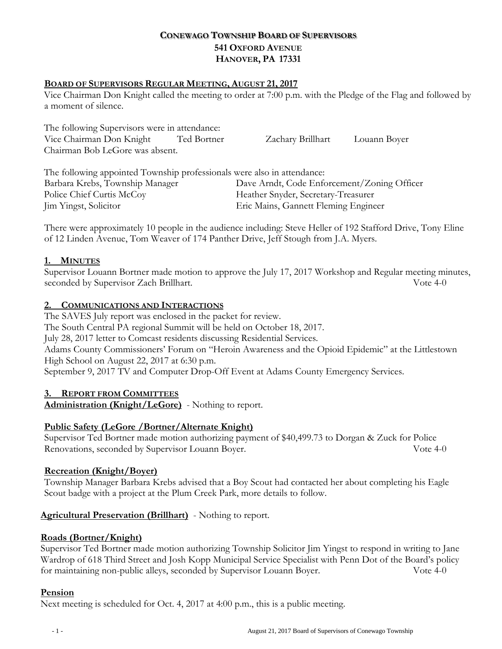# **CONEWAGO TOWNSHIP BOARD OF SUPERVISORS 541 OXFORD AVENUE HANOVER, PA 17331**

## **BOARD OF SUPERVISORS REGULAR MEETING, AUGUST 21, 2017**

Vice Chairman Don Knight called the meeting to order at 7:00 p.m. with the Pledge of the Flag and followed by a moment of silence.

| The following Supervisors were in attendance: |             |                   |              |
|-----------------------------------------------|-------------|-------------------|--------------|
| Vice Chairman Don Knight                      | Ted Bortner | Zachary Brillhart | Louann Boyer |
| Chairman Bob LeGore was absent.               |             |                   |              |

The following appointed Township professionals were also in attendance: Barbara Krebs, Township Manager Dave Arndt, Code Enforcement/Zoning Officer Police Chief Curtis McCoy Theather Snyder, Secretary-Treasurer Jim Yingst, Solicitor Eric Mains, Gannett Fleming Engineer

There were approximately 10 people in the audience including: Steve Heller of 192 Stafford Drive, Tony Eline of 12 Linden Avenue, Tom Weaver of 174 Panther Drive, Jeff Stough from J.A. Myers.

## **1. MINUTES**

Supervisor Louann Bortner made motion to approve the July 17, 2017 Workshop and Regular meeting minutes, seconded by Supervisor Zach Brillhart. Vote 4-0

## **2. COMMUNICATIONS AND INTERACTIONS**

The SAVES July report was enclosed in the packet for review.

The South Central PA regional Summit will be held on October 18, 2017.

July 28, 2017 letter to Comcast residents discussing Residential Services.

Adams County Commissioners' Forum on "Heroin Awareness and the Opioid Epidemic" at the Littlestown High School on August 22, 2017 at 6:30 p.m.

September 9, 2017 TV and Computer Drop-Off Event at Adams County Emergency Services.

#### **3. REPORT FROM COMMITTEES**

**Administration (Knight/LeGore)** - Nothing to report.

# **Public Safety (LeGore /Bortner/Alternate Knight)**

Supervisor Ted Bortner made motion authorizing payment of \$40,499.73 to Dorgan & Zuck for Police Renovations, seconded by Supervisor Louann Boyer. Vote 4-0

#### **Recreation (Knight/Boyer)**

Township Manager Barbara Krebs advised that a Boy Scout had contacted her about completing his Eagle Scout badge with a project at the Plum Creek Park, more details to follow.

#### **Agricultural Preservation (Brillhart)** - Nothing to report.

#### **Roads (Bortner/Knight)**

Supervisor Ted Bortner made motion authorizing Township Solicitor Jim Yingst to respond in writing to Jane Wardrop of 618 Third Street and Josh Kopp Municipal Service Specialist with Penn Dot of the Board's policy for maintaining non-public alleys, seconded by Supervisor Louann Boyer. Vote 4-0

#### **Pension**

Next meeting is scheduled for Oct. 4, 2017 at 4:00 p.m., this is a public meeting.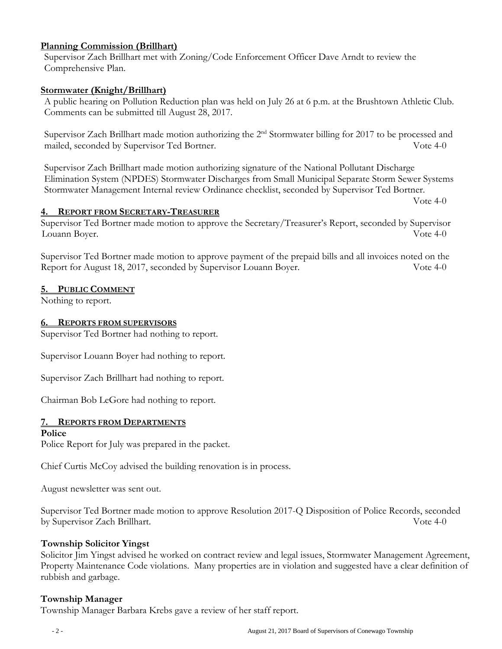### **Planning Commission (Brillhart)**

Supervisor Zach Brillhart met with Zoning/Code Enforcement Officer Dave Arndt to review the Comprehensive Plan.

### **Stormwater (Knight/Brillhart)**

A public hearing on Pollution Reduction plan was held on July 26 at 6 p.m. at the Brushtown Athletic Club. Comments can be submitted till August 28, 2017.

Supervisor Zach Brillhart made motion authorizing the 2<sup>nd</sup> Stormwater billing for 2017 to be processed and mailed, seconded by Supervisor Ted Bortner. Vote 4-0

Supervisor Zach Brillhart made motion authorizing signature of the National Pollutant Discharge Elimination System (NPDES) Stormwater Discharges from Small Municipal Separate Storm Sewer Systems Stormwater Management Internal review Ordinance checklist, seconded by Supervisor Ted Bortner.

Vote 4-0

#### **4. REPORT FROM SECRETARY-TREASURER**

Supervisor Ted Bortner made motion to approve the Secretary/Treasurer's Report, seconded by Supervisor Louann Boyer. Vote 4-0

Supervisor Ted Bortner made motion to approve payment of the prepaid bills and all invoices noted on the Report for August 18, 2017, seconded by Supervisor Louann Boyer. Vote 4-0

#### **5. PUBLIC COMMENT**

Nothing to report.

#### **6. REPORTS FROM SUPERVISORS**

Supervisor Ted Bortner had nothing to report.

Supervisor Louann Boyer had nothing to report.

Supervisor Zach Brillhart had nothing to report.

Chairman Bob LeGore had nothing to report.

#### **7. REPORTS FROM DEPARTMENTS**

#### **Police**

Police Report for July was prepared in the packet.

Chief Curtis McCoy advised the building renovation is in process.

August newsletter was sent out.

Supervisor Ted Bortner made motion to approve Resolution 2017-Q Disposition of Police Records, seconded by Supervisor Zach Brillhart. Vote 4-0

#### **Township Solicitor Yingst**

Solicitor Jim Yingst advised he worked on contract review and legal issues, Stormwater Management Agreement, Property Maintenance Code violations. Many properties are in violation and suggested have a clear definition of rubbish and garbage.

#### **Township Manager**

Township Manager Barbara Krebs gave a review of her staff report.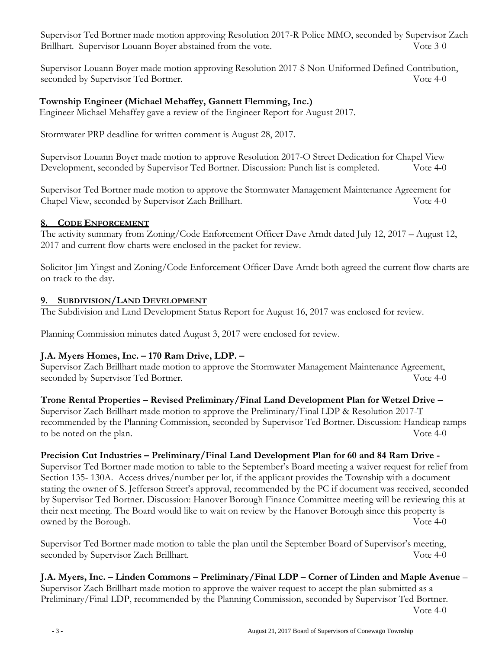Supervisor Ted Bortner made motion approving Resolution 2017-R Police MMO, seconded by Supervisor Zach Brillhart. Supervisor Louann Boyer abstained from the vote. Vote 3-0

Supervisor Louann Boyer made motion approving Resolution 2017-S Non-Uniformed Defined Contribution, seconded by Supervisor Ted Bortner. Vote 4-0

# **Township Engineer (Michael Mehaffey, Gannett Flemming, Inc.)**

Engineer Michael Mehaffey gave a review of the Engineer Report for August 2017.

Stormwater PRP deadline for written comment is August 28, 2017.

Supervisor Louann Boyer made motion to approve Resolution 2017-O Street Dedication for Chapel View Development, seconded by Supervisor Ted Bortner. Discussion: Punch list is completed. Vote 4-0

Supervisor Ted Bortner made motion to approve the Stormwater Management Maintenance Agreement for Chapel View, seconded by Supervisor Zach Brillhart. Vote 4-0

# **8. CODE ENFORCEMENT**

The activity summary from Zoning/Code Enforcement Officer Dave Arndt dated July 12, 2017 – August 12, 2017 and current flow charts were enclosed in the packet for review.

Solicitor Jim Yingst and Zoning/Code Enforcement Officer Dave Arndt both agreed the current flow charts are on track to the day.

# **9. SUBDIVISION/LAND DEVELOPMENT**

The Subdivision and Land Development Status Report for August 16, 2017 was enclosed for review.

Planning Commission minutes dated August 3, 2017 were enclosed for review.

# **J.A. Myers Homes, Inc. – 170 Ram Drive, LDP. –**

Supervisor Zach Brillhart made motion to approve the Stormwater Management Maintenance Agreement, seconded by Supervisor Ted Bortner. Vote 4-0

# **Trone Rental Properties – Revised Preliminary/Final Land Development Plan for Wetzel Drive –**

Supervisor Zach Brillhart made motion to approve the Preliminary/Final LDP & Resolution 2017-T recommended by the Planning Commission, seconded by Supervisor Ted Bortner. Discussion: Handicap ramps to be noted on the plan. Vote 4-0

# **Precision Cut Industries – Preliminary/Final Land Development Plan for 60 and 84 Ram Drive -**

Supervisor Ted Bortner made motion to table to the September's Board meeting a waiver request for relief from Section 135- 130A. Access drives/number per lot, if the applicant provides the Township with a document stating the owner of S. Jefferson Street's approval, recommended by the PC if document was received, seconded by Supervisor Ted Bortner. Discussion: Hanover Borough Finance Committee meeting will be reviewing this at their next meeting. The Board would like to wait on review by the Hanover Borough since this property is owned by the Borough. Vote 4-0

Supervisor Ted Bortner made motion to table the plan until the September Board of Supervisor's meeting, seconded by Supervisor Zach Brillhart. Vote 4-0

**J.A. Myers, Inc. – Linden Commons – Preliminary/Final LDP – Corner of Linden and Maple Avenue** – Supervisor Zach Brillhart made motion to approve the waiver request to accept the plan submitted as a Preliminary/Final LDP, recommended by the Planning Commission, seconded by Supervisor Ted Bortner.

Vote 4-0